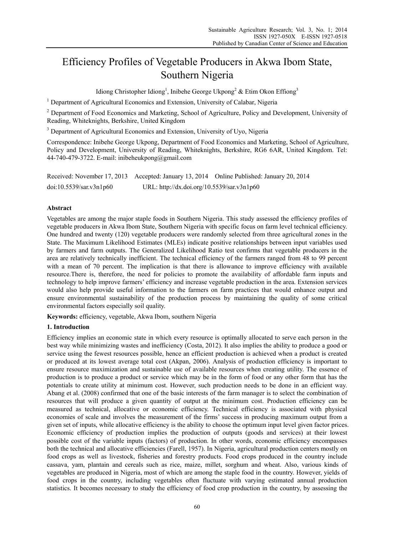# Efficiency Profiles of Vegetable Producers in Akwa Ibom State, Southern Nigeria

Idiong Christopher Idiong<sup>1</sup>, Inibehe George Ukpong<sup>2</sup> & Etim Okon Effiong<sup>3</sup>

<sup>1</sup> Department of Agricultural Economics and Extension, University of Calabar, Nigeria

<sup>2</sup> Department of Food Economics and Marketing, School of Agriculture, Policy and Development, University of Reading, Whiteknights, Berkshire, United Kingdom

<sup>3</sup> Department of Agricultural Economics and Extension, University of Uyo, Nigeria

Correspondence: Inibehe George Ukpong, Department of Food Economics and Marketing, School of Agriculture, Policy and Development, University of Reading, Whiteknights, Berkshire, RG6 6AR, United Kingdom. Tel: 44-740-479-3722. E-mail: inibeheukpong@gmail.com

Received: November 17, 2013 Accepted: January 13, 2014 Online Published: January 20, 2014 doi:10.5539/sar.v3n1p60 URL: http://dx.doi.org/10.5539/sar.v3n1p60

# **Abstract**

Vegetables are among the major staple foods in Southern Nigeria. This study assessed the efficiency profiles of vegetable producers in Akwa Ibom State, Southern Nigeria with specific focus on farm level technical efficiency. One hundred and twenty (120) vegetable producers were randomly selected from three agricultural zones in the State. The Maximum Likelihood Estimates (MLEs) indicate positive relationships between input variables used by farmers and farm outputs. The Generalized Likelihood Ratio test confirms that vegetable producers in the area are relatively technically inefficient. The technical efficiency of the farmers ranged from 48 to 99 percent with a mean of 70 percent. The implication is that there is allowance to improve efficiency with available resource.There is, therefore, the need for policies to promote the availability of affordable farm inputs and technology to help improve farmers' efficiency and increase vegetable production in the area. Extension services would also help provide useful information to the farmers on farm practices that would enhance output and ensure environmental sustainability of the production process by maintaining the quality of some critical environmental factors especially soil quality.

**Keywords:** efficiency, vegetable, Akwa Ibom, southern Nigeria

# **1. Introduction**

Efficiency implies an economic state in which every resource is optimally allocated to serve each person in the best way while minimizing wastes and inefficiency (Costa, 2012). It also implies the ability to produce a good or service using the fewest resources possible, hence an efficient production is achieved when a product is created or produced at its lowest average total cost (Akpan, 2006). Analysis of production efficiency is important to ensure resource maximization and sustainable use of available resources when creating utility. The essence of production is to produce a product or service which may be in the form of food or any other form that has the potentials to create utility at minimum cost. However, such production needs to be done in an efficient way. Abang et al. (2008) confirmed that one of the basic interests of the farm manager is to select the combination of resources that will produce a given quantity of output at the minimum cost. Production efficiency can be measured as technical, allocative or economic efficiency. Technical efficiency is associated with physical economies of scale and involves the measurement of the firms' success in producing maximum output from a given set of inputs, while allocative efficiency is the ability to choose the optimum input level given factor prices. Economic efficiency of production implies the production of outputs (goods and services) at their lowest possible cost of the variable inputs (factors) of production. In other words, economic efficiency encompasses both the technical and allocative efficiencies (Farell, 1957). In Nigeria, agricultural production centers mostly on food crops as well as livestock, fisheries and forestry products. Food crops produced in the country include cassava, yam, plantain and cereals such as rice, maize, millet, sorghum and wheat. Also, various kinds of vegetables are produced in Nigeria, most of which are among the staple food in the country. However, yields of food crops in the country, including vegetables often fluctuate with varying estimated annual production statistics. It becomes necessary to study the efficiency of food crop production in the country, by assessing the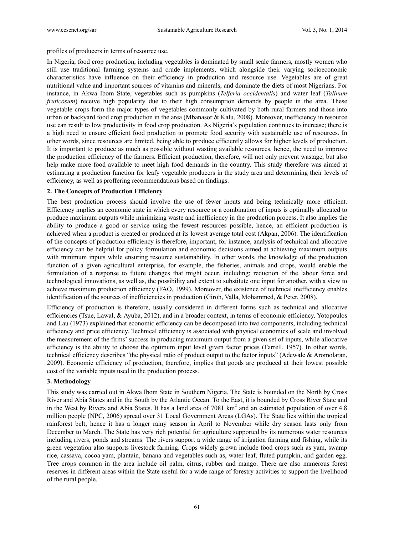profiles of producers in terms of resource use.

In Nigeria, food crop production, including vegetables is dominated by small scale farmers, mostly women who still use traditional farming systems and crude implements, which alongside their varying socioeconomic characteristics have influence on their efficiency in production and resource use. Vegetables are of great nutritional value and important sources of vitamins and minerals, and dominate the diets of most Nigerians. For instance, in Akwa Ibom State, vegetables such as pumpkins (*Telferia occidentalis*) and water leaf (*Talinum fruticosum*) receive high popularity due to their high consumption demands by people in the area. These vegetable crops form the major types of vegetables commonly cultivated by both rural farmers and those into urban or backyard food crop production in the area (Mbanasor & Kalu, 2008). Moreover, inefficiency in resource use can result to low productivity in food crop production. As Nigeria's population continues to increase; there is a high need to ensure efficient food production to promote food security with sustainable use of resources. In other words, since resources are limited, being able to produce efficiently allows for higher levels of production. It is important to produce as much as possible without wasting available resources, hence, the need to improve the production efficiency of the farmers. Efficient production, therefore, will not only prevent wastage, but also help make more food available to meet high food demands in the country. This study therefore was aimed at estimating a production function for leafy vegetable producers in the study area and determining their levels of efficiency, as well as proffering recommendations based on findings.

## **2. The Concepts of Production Efficiency**

The best production process should involve the use of fewer inputs and being technically more efficient. Efficiency implies an economic state in which every resource or a combination of inputs is optimally allocated to produce maximum outputs while minimizing waste and inefficiency in the production process. It also implies the ability to produce a good or service using the fewest resources possible, hence, an efficient production is achieved when a product is created or produced at its lowest average total cost (Akpan, 2006). The identification of the concepts of production efficiency is therefore, important, for instance, analysis of technical and allocative efficiency can be helpful for policy formulation and economic decisions aimed at achieving maximum outputs with minimum inputs while ensuring resource sustainability. In other words, the knowledge of the production function of a given agricultural enterprise, for example, the fisheries, animals and crops, would enable the formulation of a response to future changes that might occur, including; reduction of the labour force and technological innovations, as well as, the possibility and extent to substitute one input for another, with a view to achieve maximum production efficiency (FAO, 1999). Moreover, the existence of technical inefficiency enables identification of the sources of inefficiencies in production (Giroh, Valla, Mohammed, & Peter, 2008).

Efficiency of production is therefore, usually considered in different forms such as technical and allocative efficiencies (Tsue, Lawal, & Ayuba, 2012), and in a broader context, in terms of economic efficiency. Yotopoulos and Lau (1973) explained that economic efficiency can be decomposed into two components, including technical efficiency and price efficiency. Technical efficiency is associated with physical economics of scale and involved the measurement of the firms' success in producing maximum output from a given set of inputs, while allocative efficiency is the ability to choose the optimum input level given factor prices (Farrell, 1957). In other words, technical efficiency describes "the physical ratio of product output to the factor inputs" (Adewale & Aromolaran, 2009). Economic efficiency of production, therefore, implies that goods are produced at their lowest possible cost of the variable inputs used in the production process.

#### **3. Methodology**

This study was carried out in Akwa Ibom State in Southern Nigeria. The State is bounded on the North by Cross River and Abia States and in the South by the Atlantic Ocean. To the East, it is bounded by Cross River State and in the West by Rivers and Abia States. It has a land area of  $7081 \text{ km}^2$  and an estimated population of over 4.8 million people (NPC, 2006) spread over 31 Local Government Areas (LGAs). The State lies within the tropical rainforest belt; hence it has a longer rainy season in April to November while dry season lasts only from December to March. The State has very rich potential for agriculture supported by its numerous water resources including rivers, ponds and streams. The rivers support a wide range of irrigation farming and fishing, while its green vegetation also supports livestock farming. Crops widely grown include food crops such as yam, swamp rice, cassava, cocoa yam, plantain, banana and vegetables such as, water leaf, fluted pumpkin, and garden egg. Tree crops common in the area include oil palm, citrus, rubber and mango. There are also numerous forest reserves in different areas within the State useful for a wide range of forestry activities to support the livelihood of the rural people.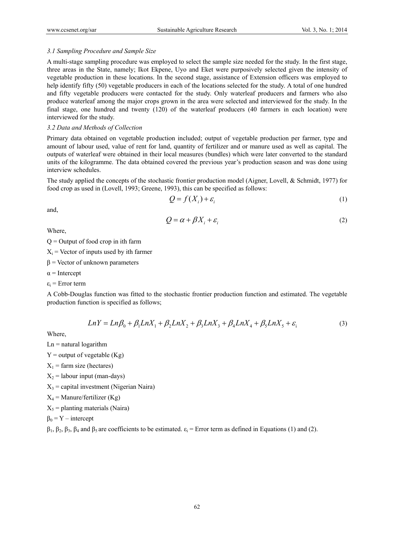#### *3.1 Sampling Procedure and Sample Size*

A multi-stage sampling procedure was employed to select the sample size needed for the study. In the first stage, three areas in the State, namely; Ikot Ekpene, Uyo and Eket were purposively selected given the intensity of vegetable production in these locations. In the second stage, assistance of Extension officers was employed to help identify fifty (50) vegetable producers in each of the locations selected for the study. A total of one hundred and fifty vegetable producers were contacted for the study. Only waterleaf producers and farmers who also produce waterleaf among the major crops grown in the area were selected and interviewed for the study. In the final stage, one hundred and twenty (120) of the waterleaf producers (40 farmers in each location) were interviewed for the study.

#### *3.2 Data and Methods of Collection*

Primary data obtained on vegetable production included; output of vegetable production per farmer, type and amount of labour used, value of rent for land, quantity of fertilizer and or manure used as well as capital. The outputs of waterleaf were obtained in their local measures (bundles) which were later converted to the standard units of the kilogramme. The data obtained covered the previous year's production season and was done using interview schedules.

The study applied the concepts of the stochastic frontier production model (Aigner, Lovell, & Schmidt, 1977) for food crop as used in (Lovell, 1993; Greene, 1993), this can be specified as follows:

$$
Q = f(X_i) + \varepsilon_i \tag{1}
$$

and,

$$
Q = \alpha + \beta X_i + \varepsilon_i \tag{2}
$$

Where,

 $Q =$  Output of food crop in ith farm

 $X_i$  = Vector of inputs used by ith farmer

 $β = Vector of unknown parameters$ 

 $\alpha$  = Intercept

 $\varepsilon_i$  = Error term

A Cobb-Douglas function was fitted to the stochastic frontier production function and estimated. The vegetable production function is specified as follows;

$$
LnY = Ln\beta_0 + \beta_1 LnX_1 + \beta_2 LnX_2 + \beta_3 LnX_3 + \beta_4 LnX_4 + \beta_5 LnX_5 + \varepsilon_1
$$
\n(3)

Where,

 $Ln =$ natural logarithm

 $Y =$  output of vegetable  $(Kg)$ 

 $X_1$  = farm size (hectares)

 $X_2$  = labour input (man-days)

 $X_3$  = capital investment (Nigerian Naira)

 $X_4$  = Manure/fertilizer (Kg)

 $X_5$  = planting materials (Naira)

 $\beta_0 = Y -$  intercept

 $β_1$ ,  $β_2$ ,  $β_3$ ,  $β_4$  and  $β_5$  are coefficients to be estimated.  $ε_i$  = Error term as defined in Equations (1) and (2).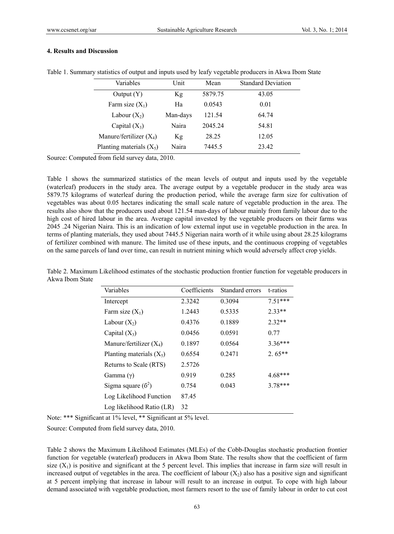## **4. Results and Discussion**

| Variables                  | Unit     | Mean    | <b>Standard Deviation</b> |
|----------------------------|----------|---------|---------------------------|
| Output(Y)                  | Kg       | 5879.75 | 43.05                     |
| Farm size $(X_1)$          | Ha       | 0.0543  | 0.01                      |
| Labour $(X_2)$             | Man-days | 121.54  | 64.74                     |
| Capital $(X_3)$            | Naira    | 2045.24 | 54.81                     |
| Manure/fertilizer $(X_4)$  | Kg       | 28.25   | 12.05                     |
| Planting materials $(X_5)$ | Naira    | 7445.5  | 23.42                     |

Table 1. Summary statistics of output and inputs used by leafy vegetable producers in Akwa Ibom State

Source: Computed from field survey data, 2010.

Table 1 shows the summarized statistics of the mean levels of output and inputs used by the vegetable (waterleaf) producers in the study area. The average output by a vegetable producer in the study area was 5879.75 kilograms of waterleaf during the production period, while the average farm size for cultivation of vegetables was about 0.05 hectares indicating the small scale nature of vegetable production in the area. The results also show that the producers used about 121.54 man-days of labour mainly from family labour due to the high cost of hired labour in the area. Average capital invested by the vegetable producers on their farms was 2045 .24 Nigerian Naira. This is an indication of low external input use in vegetable production in the area. In terms of planting materials, they used about 7445.5 Nigerian naira worth of it while using about 28.25 kilograms of fertilizer combined with manure. The limited use of these inputs, and the continuous cropping of vegetables on the same parcels of land over time, can result in nutrient mining which would adversely affect crop yields.

Table 2. Maximum Likelihood estimates of the stochastic production frontier function for vegetable producers in Akwa Ibom State

| Variables                  | Coefficients | Standard errors | t-ratios  |
|----------------------------|--------------|-----------------|-----------|
| Intercept                  | 2.3242       | 0.3094          | $7.51***$ |
| Farm size $(X_1)$          | 1.2443       | 0.5335          | $2.33**$  |
| Labour $(X_2)$             | 0.4376       | 0.1889          | $2.32**$  |
| Capital $(X_3)$            | 0.0456       | 0.0591          | 0.77      |
| Manure/fertilizer $(X_4)$  | 0.1897       | 0.0564          | $3.36***$ |
| Planting materials $(X_5)$ | 0.6554       | 0.2471          | $2.65**$  |
| Returns to Scale (RTS)     | 2.5726       |                 |           |
| Gamma $(y)$                | 0.919        | 0.285           | $4.68***$ |
| Sigma square $(6^2)$       | 0.754        | 0.043           | $3.78***$ |
| Log Likelihood Function    | 87.45        |                 |           |
| Log likelihood Ratio (LR)  | 32           |                 |           |

Note: \*\*\* Significant at 1% level, \*\* Significant at 5% level.

Source: Computed from field survey data, 2010.

Table 2 shows the Maximum Likelihood Estimates (MLEs) of the Cobb-Douglas stochastic production frontier function for vegetable (waterleaf) producers in Akwa Ibom State. The results show that the coefficient of farm size  $(X_1)$  is positive and significant at the 5 percent level. This implies that increase in farm size will result in increased output of vegetables in the area. The coefficient of labour  $(X_2)$  also has a positive sign and significant at 5 percent implying that increase in labour will result to an increase in output. To cope with high labour demand associated with vegetable production, most farmers resort to the use of family labour in order to cut cost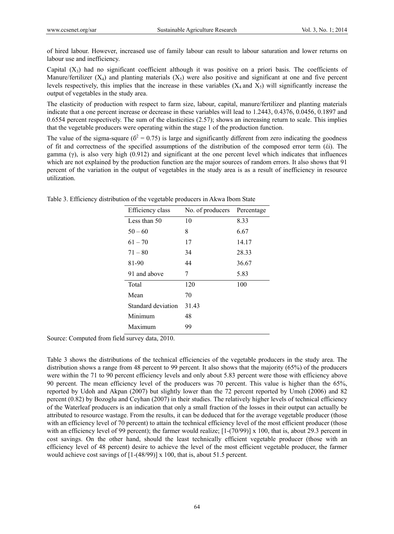of hired labour. However, increased use of family labour can result to labour saturation and lower returns on labour use and inefficiency.

Capital  $(X_3)$  had no significant coefficient although it was positive on a priori basis. The coefficients of Manure/fertilizer  $(X_4)$  and planting materials  $(X_5)$  were also positive and significant at one and five percent levels respectively, this implies that the increase in these variables  $(X_4$  and  $X_5)$  will significantly increase the output of vegetables in the study area.

The elasticity of production with respect to farm size, labour, capital, manure/fertilizer and planting materials indicate that a one percent increase or decrease in these variables will lead to 1.2443, 0.4376, 0.0456, 0.1897 and 0.6554 percent respectively. The sum of the elasticities (2.57); shows an increasing return to scale. This implies that the vegetable producers were operating within the stage 1 of the production function.

The value of the sigma-square ( $\delta^2 = 0.75$ ) is large and significantly different from zero indicating the goodness of fit and correctness of the specified assumptions of the distribution of the composed error term (έі). The gamma (γ), is also very high (0.912) and significant at the one percent level which indicates that influences which are not explained by the production function are the major sources of random errors. It also shows that 91 percent of the variation in the output of vegetables in the study area is as a result of inefficiency in resource utilization.

| Efficiency class   | No. of producers | Percentage |
|--------------------|------------------|------------|
| Less than 50       | 10               | 8.33       |
| $50 - 60$          | 8                | 6.67       |
| $61 - 70$          | 17               | 14.17      |
| $71 - 80$          | 34               | 28.33      |
| 81-90              | 44               | 36.67      |
| 91 and above       | 7                | 5.83       |
| Total              | 120              | 100        |
| Mean               | 70               |            |
| Standard deviation | 31.43            |            |
| Minimum            | 48               |            |
| Maximum            | 99               |            |

Table 3. Efficiency distribution of the vegetable producers in Akwa Ibom State

Source: Computed from field survey data, 2010.

Table 3 shows the distributions of the technical efficiencies of the vegetable producers in the study area. The distribution shows a range from 48 percent to 99 percent. It also shows that the majority (65%) of the producers were within the 71 to 90 percent efficiency levels and only about 5.83 percent were those with efficiency above 90 percent. The mean efficiency level of the producers was 70 percent. This value is higher than the 65%, reported by Udoh and Akpan (2007) but slightly lower than the 72 percent reported by Umoh (2006) and 82 percent (0.82) by Bozoglu and Ceyhan (2007) in their studies. The relatively higher levels of technical efficiency of the Waterleaf producers is an indication that only a small fraction of the losses in their output can actually be attributed to resource wastage. From the results, it can be deduced that for the average vegetable producer (those with an efficiency level of 70 percent) to attain the technical efficiency level of the most efficient producer (those with an efficiency level of 99 percent); the farmer would realize;  $[1-(70/99)] \times 100$ , that is, about 29.3 percent in cost savings. On the other hand, should the least technically efficient vegetable producer (those with an efficiency level of 48 percent) desire to achieve the level of the most efficient vegetable producer, the farmer would achieve cost savings of [1-(48/99)] x 100, that is, about 51.5 percent.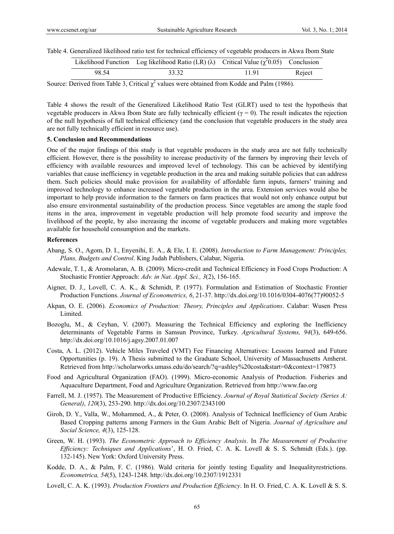Table 4. Generalized likelihood ratio test for technical efficiency of vegetable producers in Akwa Ibom State

|       | Likelihood Function Log likelihood Ratio (LR) ( $\lambda$ ) Critical Value ( $\chi^2$ 0.05) Conclusion |      |        |
|-------|--------------------------------------------------------------------------------------------------------|------|--------|
| 98.54 | 33.32                                                                                                  | 1191 | Reject |

Source: Derived from Table 3, Critical  $\chi^2$  values were obtained from Kodde and Palm (1986).

Table 4 shows the result of the Generalized Likelihood Ratio Test (GLRT) used to test the hypothesis that vegetable producers in Akwa Ibom State are fully technically efficient (γ = 0). The result indicates the rejection of the null hypothesis of full technical efficiency (and the conclusion that vegetable producers in the study area are not fully technically efficient in resource use).

# **5. Conclusion and Recommendations**

One of the major findings of this study is that vegetable producers in the study area are not fully technically efficient. However, there is the possibility to increase productivity of the farmers by improving their levels of efficiency with available resources and improved level of technology. This can be achieved by identifying variables that cause inefficiency in vegetable production in the area and making suitable policies that can address them. Such policies should make provision for availability of affordable farm inputs, farmers' training and improved technology to enhance increased vegetable production in the area. Extension services would also be important to help provide information to the farmers on farm practices that would not only enhance output but also ensure environmental sustainability of the production process. Since vegetables are among the staple food items in the area, improvement in vegetable production will help promote food security and improve the livelihood of the people, by also increasing the income of vegetable producers and making more vegetables available for household consumption and the markets.

#### **References**

- Abang, S. O., Agom, D. I., Enyenihi, E. A., & Ele, I. E. (2008). *Introduction to Farm Management: Principles, Plans, Budgets and Control*. King Judah Publishers, Calabar, Nigeria.
- Adewale, T. I., & Aromolaran, A. B. (2009). Micro-credit and Technical Efficiency in Food Crops Production: A Stochastic Frontier Approach: *Adv. in Nat. Appl. Sci., 3*(2), 156-165.
- Aigner, D. J., Lovell, C. A. K., & Schmidt, P. (1977). Formulation and Estimation of Stochastic Frontier Production Functions. *Journal of Econometrics, 6*, 21-37. http://dx.doi.org/10.1016/0304-4076(77)90052-5
- Akpan, O. E. (2006). *Economics of Production: Theory, Principles and Applications*. Calabar: Wusen Press Limited.
- Bozoglu, M., & Ceyhan, V. (2007). Measuring the Technical Efficiency and exploring the Inefficiency determinants of Vegetable Farms in Samsun Province, Turkey. *Agricultural Systems, 94*(3), 649-656. http://dx.doi.org/10.1016/j.agsy.2007.01.007
- Costa, A. L. (2012). Vehicle Miles Traveled (VMT) Fee Financing Alternatives: Lessons learned and Future Opportunities (p. 19). A Thesis submitted to the Graduate School, University of Massachusetts Amherst. Retrieved from http://scholarworks.umass.edu/do/search/?q=ashley%20costa&start=0&context=179873
- Food and Agricultural Organization (FAO). (1999). Micro-economic Analysis of Production. Fisheries and Aquaculture Department, Food and Agriculture Organization. Retrieved from http://www.fao.org
- Farrell, M. J. (1957). The Measurement of Productive Efficiency. *Journal of Royal Statistical Society (Series A: General)*, *120*(3), 253-290. http://dx.doi.org/10.2307/2343100
- Giroh, D. Y., Valla, W., Mohammed, A., & Peter, O. (2008). Analysis of Technical Inefficiency of Gum Arabic Based Cropping patterns among Farmers in the Gum Arabic Belt of Nigeria. *Journal of Agriculture and Social Science, 4*(3), 125-128.
- Green, W. H. (1993). *The Econometric Approach to Efficiency Analysis*. In *The Measurement of Productive Efficiency: Techniques and Applications*', H. O. Fried, C. A. K. Lovell & S. S. Schmidt (Eds.). (pp. 132-145). New York: Oxford University Press.
- Kodde, D. A., & Palm, F. C. (1986). Wald criteria for jointly testing Equality and Inequality restrictions. *Econometrica, 54*(5), 1243-1248. http://dx.doi.org/10.2307/1912331
- Lovell, C. A. K. (1993). *Production Frontiers and Production Efficiency*. In H. O. Fried, C. A. K. Lovell & S. S.